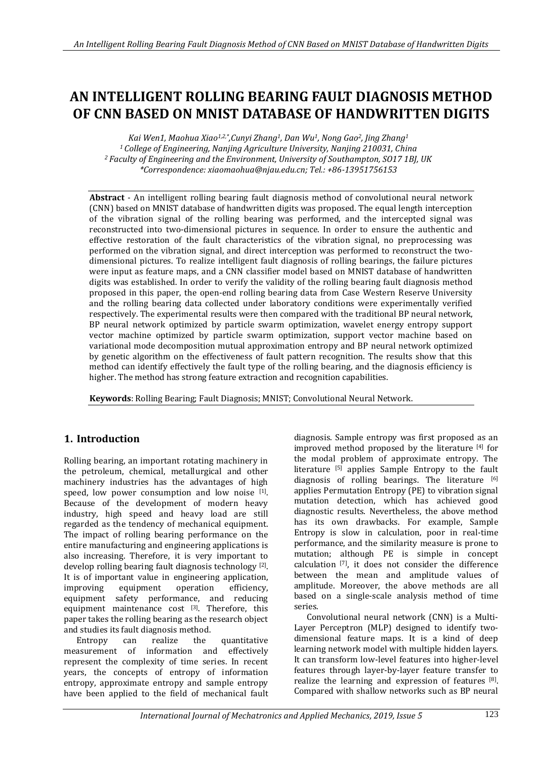# **AN INTELLIGENT ROLLING BEARING FAULT DIAGNOSIS METHOD OF CNN BASED ON MNIST DATABASE OF HANDWRITTEN DIGITS**

*Kai Wen1, Maohua Xiao1,2,\*,Cunyi Zhang1, Dan Wu1, Nong Gao2, Jing Zhang<sup>1</sup> <sup>1</sup>College of Engineering, Nanjing Agriculture University, Nanjing 210031, China <sup>2</sup>Faculty of Engineering and the Environment, University of Southampton, SO17 1BJ, UK \*Correspondence: xiaomaohua@njau.edu.cn; Tel.: +86-13951756153*

**Abstract** - An intelligent rolling bearing fault diagnosis method of convolutional neural network (CNN) based on MNIST database of handwritten digits was proposed. The equal length interception of the vibration signal of the rolling bearing was performed, and the intercepted signal was reconstructed into two-dimensional pictures in sequence. In order to ensure the authentic and effective restoration of the fault characteristics of the vibration signal, no preprocessing was performed on the vibration signal, and direct interception was performed to reconstruct the twodimensional pictures. To realize intelligent fault diagnosis of rolling bearings, the failure pictures were input as feature maps, and a CNN classifier model based on MNIST database of handwritten digits was established. In order to verify the validity of the rolling bearing fault diagnosis method proposed in this paper, the open-end rolling bearing data from Case Western Reserve University and the rolling bearing data collected under laboratory conditions were experimentally verified respectively. The experimental results were then compared with the traditional BP neural network, BP neural network optimized by particle swarm optimization, wavelet energy entropy support vector machine optimized by particle swarm optimization, support vector machine based on variational mode decomposition mutual approximation entropy and BP neural network optimized by genetic algorithm on the effectiveness of fault pattern recognition. The results show that this method can identify effectively the fault type of the rolling bearing, and the diagnosis efficiency is higher. The method has strong feature extraction and recognition capabilities.

**Keywords**: Rolling Bearing; Fault Diagnosis; MNIST; Convolutional Neural Network.

# **1. Introduction**

Rolling bearing, an important rotating machinery in the petroleum, chemical, metallurgical and other machinery industries has the advantages of high speed, low power consumption and low noise [1]. Because of the development of modern heavy industry, high speed and heavy load are still regarded as the tendency of mechanical equipment. The impact of rolling bearing performance on the entire manufacturing and engineering applications is also increasing. Therefore, it is very important to develop rolling bearing fault diagnosis technology <a>[2]</a>. It is of important value in engineering application, improving equipment operation efficiency, equipment safety performance, and reducing equipment maintenance cost [3]. Therefore, this paper takes the rolling bearing as the research object and studies its fault diagnosis method.

Entropy can realize the quantitative measurement of information and effectively represent the complexity of time series. In recent years, the concepts of entropy of information entropy, approximate entropy and sample entropy have been applied to the field of mechanical fault diagnosis. Sample entropy was first proposed as an improved method proposed by the literature [4] for the modal problem of approximate entropy. The literature [5] applies Sample Entropy to the fault diagnosis of rolling bearings. The literature [6] applies Permutation Entropy (PE) to vibration signal mutation detection, which has achieved good diagnostic results. Nevertheless, the above method has its own drawbacks. For example, Sample Entropy is slow in calculation, poor in real-time performance, and the similarity measure is prone to mutation; although PE is simple in concept calculation [7], it does not consider the difference between the mean and amplitude values of amplitude. Moreover, the above methods are all based on a single-scale analysis method of time series.

Convolutional neural network (CNN) is a Multi-Layer Perceptron (MLP) designed to identify twodimensional feature maps. It is a kind of deep learning network model with multiple hidden layers. It can transform low-level features into higher-level features through layer-by-layer feature transfer to realize the learning and expression of features [8]. Compared with shallow networks such as BP neural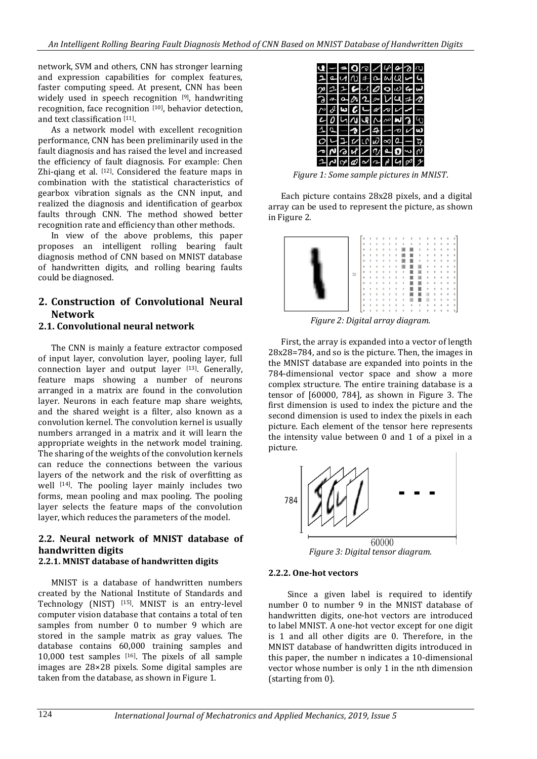network, SVM and others, CNN has stronger learning and expression capabilities for complex features, faster computing speed. At present, CNN has been widely used in speech recognition [9], handwriting recognition, face recognition [10], behavior detection, and text classification [11].

As a network model with excellent recognition performance, CNN has been preliminarily used in the fault diagnosis and has raised the level and increased the efficiency of fault diagnosis. For example: Chen Zhi-qiang et al.  $[12]$ . Considered the feature maps in combination with the statistical characteristics of gearbox vibration signals as the CNN input, and realized the diagnosis and identification of gearbox faults through CNN. The method showed better recognition rate and efficiency than other methods.

In view of the above problems, this paper proposes an intelligent rolling bearing fault diagnosis method of CNN based on MNIST database of handwritten digits, and rolling bearing faults could be diagnosed.

## **2. Construction of Convolutional Neural Network**

#### **2.1. Convolutional neural network**

The CNN is mainly a feature extractor composed of input layer, convolution layer, pooling layer, full connection layer and output layer  $[13]$ . Generally, feature maps showing a number of neurons arranged in a matrix are found in the convolution layer. Neurons in each feature map share weights, and the shared weight is a filter, also known as a convolution kernel. The convolution kernel is usually numbers arranged in a matrix and it will learn the appropriate weights in the network model training. The sharing of the weights of the convolution kernels can reduce the connections between the various layers of the network and the risk of overfitting as well  $[14]$ . The pooling layer mainly includes two forms, mean pooling and max pooling. The pooling layer selects the feature maps of the convolution layer, which reduces the parameters of the model.

# **2.2. Neural network of MNIST database of handwritten digits**

### **2.2.1. MNIST database of handwritten digits**

MNIST is a database of handwritten numbers created by the National Institute of Standards and Technology (NIST) [15]. MNIST is an entry-level computer vision database that contains a total of ten samples from number 0 to number 9 which are stored in the sample matrix as gray values. The database contains 60,000 training samples and 10,000 test samples  $[16]$ . The pixels of all sample images are 28×28 pixels. Some digital samples are taken from the database, as shown in Figure 1.



*Figure 1: Some sample pictures in MNIST*.

Each picture contains 28x28 pixels, and a digital array can be used to represent the picture, as shown in Figure 2.



*Figure 2: Digital array diagram.*

First, the array is expanded into a vector of length 28x28=784, and so is the picture. Then, the images in the MNIST database are expanded into points in the 784-dimensional vector space and show a more complex structure. The entire training database is a tensor of [60000, 784], as shown in Figure 3. The first dimension is used to index the picture and the second dimension is used to index the pixels in each picture. Each element of the tensor here represents the intensity value between 0 and 1 of a pixel in a picture.



*Figure 3: Digital tensor diagram.*

#### **2.2.2. One-hot vectors**

Since a given label is required to identify number 0 to number 9 in the MNIST database of handwritten digits, one-hot vectors are introduced to label MNIST. A one-hot vector except for one digit is 1 and all other digits are 0. Therefore, in the MNIST database of handwritten digits introduced in this paper, the number n indicates a 10-dimensional vector whose number is only 1 in the nth dimension (starting from 0).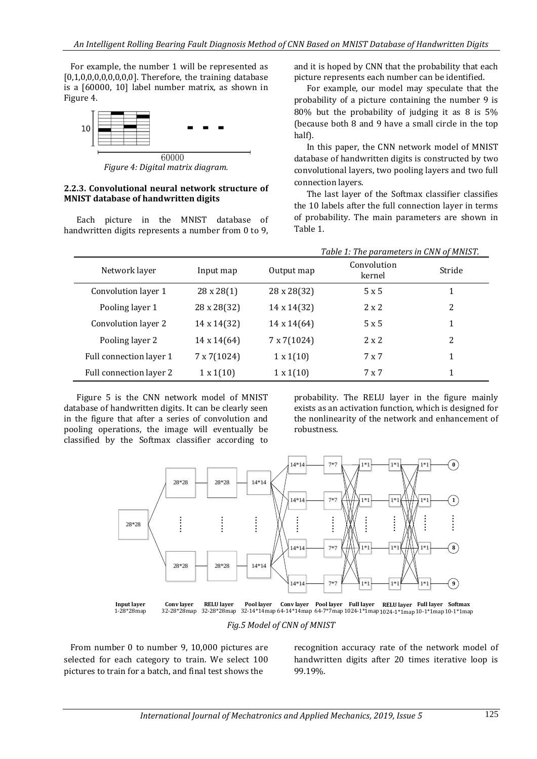For example, the number 1 will be represented as  $[0,1,0,0,0,0,0,0,0,0]$ . Therefore, the training database is a [60000, 10] label number matrix, as shown in Figure 4.



*Figure 4: Digital matrix diagram.*

#### **2.2.3. Convolutional neural network structure of MNIST database of handwritten digits**

Each picture in the MNIST database of handwritten digits represents a number from 0 to 9,

and it is hoped by CNN that the probability that each picture represents each number can be identified.

For example, our model may speculate that the probability of a picture containing the number 9 is 80% but the probability of judging it as 8 is 5% (because both 8 and 9 have a small circle in the top half).

In this paper, the CNN network model of MNIST database of handwritten digits is constructed by two convolutional layers, two pooling layers and two full connection layers.

The last layer of the Softmax classifier classifies the 10 labels after the full connection layer in terms of probability. The main parameters are shown in Table 1.

|                         |                    | Table 1: The parameters in CNN of MNIST. |                       |        |  |  |  |
|-------------------------|--------------------|------------------------------------------|-----------------------|--------|--|--|--|
| Network layer           | Input map          | Output map                               | Convolution<br>kernel | Stride |  |  |  |
| Convolution layer 1     | $28 \times 28(1)$  | 28 x 28(32)                              | 5x5                   | 1      |  |  |  |
| Pooling layer 1         | 28 x 28(32)        | 14 x 14(32)                              | $2 \times 2$          | 2      |  |  |  |
| Convolution layer 2     | 14 x 14(32)        | $14 \times 14(64)$                       | 5x5                   | 1      |  |  |  |
| Pooling layer 2         | $14 \times 14(64)$ | $7 \times 7(1024)$                       | $2 \times 2$          | 2      |  |  |  |
| Full connection layer 1 | $7 \times 7(1024)$ | $1 \times 1(10)$                         | 7 x 7                 | 1      |  |  |  |
| Full connection layer 2 | $1 \times 1(10)$   | $1 \times 1(10)$                         | 7 x 7                 | 1      |  |  |  |

Figure 5 is the CNN network model of MNIST database of handwritten digits. It can be clearly seen in the figure that after a series of convolution and pooling operations, the image will eventually be classified by the Softmax classifier according to

probability. The RELU layer in the figure mainly exists as an activation function, which is designed for the nonlinearity of the network and enhancement of robustness.





From number 0 to number 9, 10,000 pictures are selected for each category to train. We select 100 pictures to train for a batch, and final test shows the

recognition accuracy rate of the network model of handwritten digits after 20 times iterative loop is 99.19%.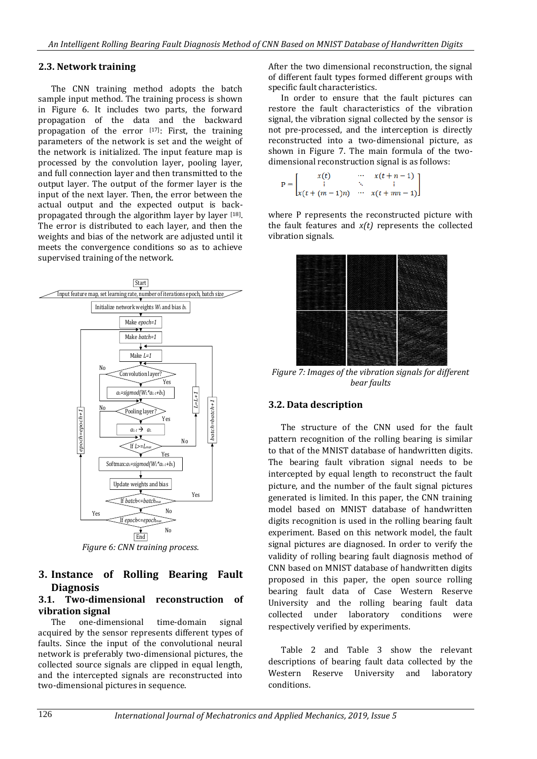#### **2.3. Network training**

The CNN training method adopts the batch sample input method. The training process is shown in Figure 6. It includes two parts, the forward propagation of the data and the backward propagation of the error [17]: First, the training parameters of the network is set and the weight of the network is initialized. The input feature map is processed by the convolution layer, pooling layer, and full connection layer and then transmitted to the output layer. The output of the former layer is the input of the next layer. Then, the error between the actual output and the expected output is backpropagated through the algorithm layer by layer [18]. The error is distributed to each layer, and then the weights and bias of the network are adjusted until it meets the convergence conditions so as to achieve supervised training of the network.



*Figure 6: CNN training process.*

# **3. Instance of Rolling Bearing Fault Diagnosis**

#### **3.1. Two-dimensional reconstruction of vibration signal**

The one-dimensional time-domain signal acquired by the sensor represents different types of faults. Since the input of the convolutional neural network is preferably two-dimensional pictures, the collected source signals are clipped in equal length, and the intercepted signals are reconstructed into two-dimensional pictures in sequence.

After the two dimensional reconstruction, the signal of different fault types formed different groups with specific fault characteristics.

In order to ensure that the fault pictures can restore the fault characteristics of the vibration signal, the vibration signal collected by the sensor is not pre-processed, and the interception is directly reconstructed into a two-dimensional picture, as shown in Figure 7. The main formula of the twodimensional reconstruction signal is as follows:

$$
P = \begin{bmatrix} x(t) & \cdots & x(t+n-1) \\ \vdots & \ddots & \vdots \\ x(t+(m-1)n) & \cdots & x(t+mn-1) \end{bmatrix}
$$

where P represents the reconstructed picture with the fault features and *x(t)* represents the collected vibration signals.



*Figure 7: Images of the vibration signals for different bear faults*

### **3.2. Data description**

The structure of the CNN used for the fault pattern recognition of the rolling bearing is similar to that of the MNIST database of handwritten digits. The bearing fault vibration signal needs to be intercepted by equal length to reconstruct the fault picture, and the number of the fault signal pictures generated is limited. In this paper, the CNN training model based on MNIST database of handwritten digits recognition is used in the rolling bearing fault experiment. Based on this network model, the fault signal pictures are diagnosed. In order to verify the validity of rolling bearing fault diagnosis method of CNN based on MNIST database of handwritten digits proposed in this paper, the open source rolling bearing fault data of Case Western Reserve University and the rolling bearing fault data collected under laboratory conditions were respectively verified by experiments.

Table 2 and Table 3 show the relevant descriptions of bearing fault data collected by the Western Reserve University and laboratory conditions.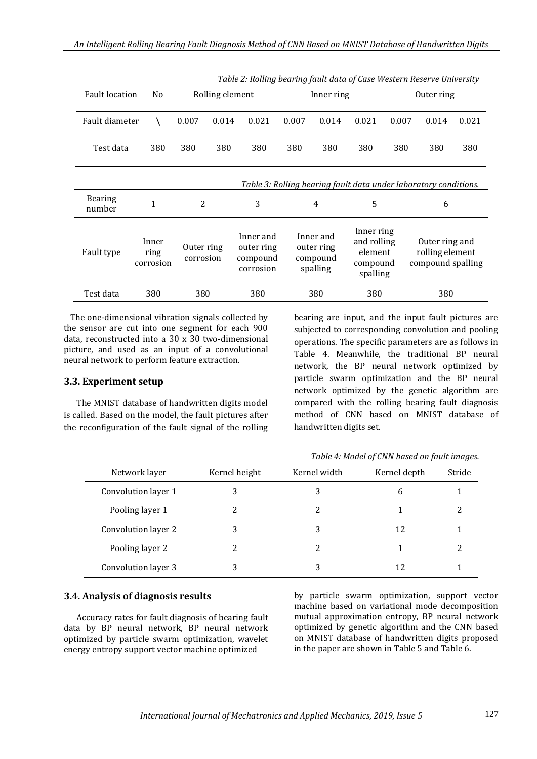|                                                                  | Table 2: Rolling bearing fault data of Case Western Reserve University |                         |                                                  |            |            |                                                 |                                                              |            |                                                        |       |
|------------------------------------------------------------------|------------------------------------------------------------------------|-------------------------|--------------------------------------------------|------------|------------|-------------------------------------------------|--------------------------------------------------------------|------------|--------------------------------------------------------|-------|
| <b>Fault location</b>                                            | N <sub>o</sub>                                                         |                         | Rolling element                                  | Inner ring |            |                                                 |                                                              | Outer ring |                                                        |       |
| Fault diameter                                                   |                                                                        | 0.007                   | 0.014                                            | 0.021      | 0.007      | 0.014                                           | 0.021                                                        | 0.007      | 0.014                                                  | 0.021 |
| Test data                                                        | 380                                                                    | 380                     | 380                                              | 380        | 380        | 380                                             | 380                                                          | 380        | 380                                                    | 380   |
| Table 3: Rolling bearing fault data under laboratory conditions. |                                                                        |                         |                                                  |            |            |                                                 |                                                              |            |                                                        |       |
| <b>Bearing</b><br>number                                         | $\mathbf{1}$                                                           |                         | 3<br>2<br>$\overline{4}$                         |            | 5          |                                                 | 6                                                            |            |                                                        |       |
| Fault type                                                       | Inner<br>ring<br>corrosion                                             | Outer ring<br>corrosion | Inner and<br>outer ring<br>compound<br>corrosion |            |            | Inner and<br>outer ring<br>compound<br>spalling | Inner ring<br>and rolling<br>element<br>compound<br>spalling |            | Outer ring and<br>rolling element<br>compound spalling |       |
| Test data                                                        | 380                                                                    | 380                     |                                                  | 380        | 380<br>380 |                                                 |                                                              | 380        |                                                        |       |

The one-dimensional vibration signals collected by the sensor are cut into one segment for each 900 data, reconstructed into a 30 x 30 two-dimensional picture, and used as an input of a convolutional neural network to perform feature extraction.

#### **3.3. Experiment setup**

The MNIST database of handwritten digits model is called. Based on the model, the fault pictures after the reconfiguration of the fault signal of the rolling bearing are input, and the input fault pictures are subjected to corresponding convolution and pooling operations. The specific parameters are as follows in Table 4. Meanwhile, the traditional BP neural network, the BP neural network optimized by particle swarm optimization and the BP neural network optimized by the genetic algorithm are compared with the rolling bearing fault diagnosis method of CNN based on MNIST database of handwritten digits set.

|                     |               |              | Table 4: Model of Civin based on fault images. |        |
|---------------------|---------------|--------------|------------------------------------------------|--------|
| Network layer       | Kernel height | Kernel width | Kernel depth                                   | Stride |
| Convolution layer 1 | 3             | 3            | 6                                              |        |
| Pooling layer 1     | 2             | 2            |                                                |        |
| Convolution layer 2 | 3             | 3            | 12                                             |        |
| Pooling layer 2     | 2             | 2            |                                                |        |
| Convolution layer 3 | 3             | 3            | 12                                             |        |

### *Table 4: Model of CNN based on fault images.*

# **3.4. Analysis of diagnosis results**

Accuracy rates for fault diagnosis of bearing fault data by BP neural network, BP neural network optimized by particle swarm optimization, wavelet energy entropy support vector machine optimized

by particle swarm optimization, support vector machine based on variational mode decomposition mutual approximation entropy, BP neural network optimized by genetic algorithm and the CNN based on MNIST database of handwritten digits proposed in the paper are shown in Table 5 and Table 6.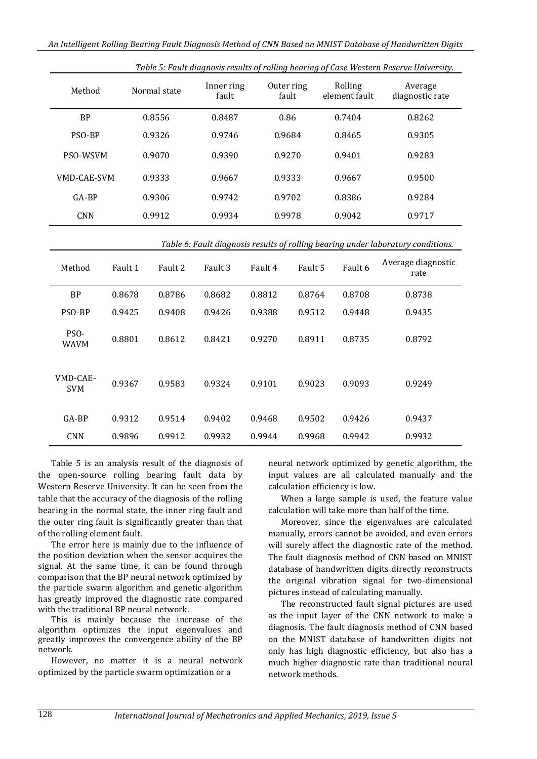| Method          | Normal state | Inner ring<br>fault | Outer ring<br>fault | Rolling<br>element fault | Average<br>diagnostic rate |
|-----------------|--------------|---------------------|---------------------|--------------------------|----------------------------|
| <b>BP</b>       | 0.8556       | 0.8487              | 0.86                | 0.7404                   | 0.8262                     |
| PSO-BP          | 0.9326       | 0.9746              | 0.9684              | 0.8465                   | 0.9305                     |
| <b>PSO-WSVM</b> | 0.9070       | 0.9390              | 0.9270              | 0.9401                   | 0.9283                     |
| VMD-CAE-SVM     | 0.9333       | 0.9667              | 0.9333              | 0.9667                   | 0.9500                     |
| $G_A-BP$        | 0.9306       | 0.9742              | 0.9702              | 0.8386                   | 0.9284                     |
| <b>CNN</b>      | 0.9912       | 0.9934              | 0.9978              | 0.9042                   | 0.9717                     |

*Table 5: Fault diagnosis results of rolling bearing of Case Western Reserve University.*

*Table 6: Fault diagnosis results of rolling bearing under laboratory conditions.*

| Method                 | Fault 1 | Fault 2 | Fault 3 | Fault 4 | Fault 5 | Fault 6 | Average diagnostic<br>rate |
|------------------------|---------|---------|---------|---------|---------|---------|----------------------------|
| <b>BP</b>              | 0.8678  | 0.8786  | 0.8682  | 0.8812  | 0.8764  | 0.8708  | 0.8738                     |
| PSO-BP                 | 0.9425  | 0.9408  | 0.9426  | 0.9388  | 0.9512  | 0.9448  | 0.9435                     |
| PSO-<br><b>WAVM</b>    | 0.8801  | 0.8612  | 0.8421  | 0.9270  | 0.8911  | 0.8735  | 0.8792                     |
| VMD-CAE-<br><b>SVM</b> | 0.9367  | 0.9583  | 0.9324  | 0.9101  | 0.9023  | 0.9093  | 0.9249                     |
| GA-BP                  | 0.9312  | 0.9514  | 0.9402  | 0.9468  | 0.9502  | 0.9426  | 0.9437                     |
| <b>CNN</b>             | 0.9896  | 0.9912  | 0.9932  | 0.9944  | 0.9968  | 0.9942  | 0.9932                     |

Table 5 is an analysis result of the diagnosis of the open-source rolling bearing fault data by Western Reserve University. It can be seen from the table that the accuracy of the diagnosis of the rolling bearing in the normal state, the inner ring fault and the outer ring fault is significantly greater than that of the rolling element fault.

The error here is mainly due to the influence of the position deviation when the sensor acquires the signal. At the same time, it can be found through comparison that the BP neural network optimized by the particle swarm algorithm and genetic algorithm has greatly improved the diagnostic rate compared with the traditional BP neural network.

This is mainly because the increase of the algorithm optimizes the input eigenvalues and greatly improves the convergence ability of the BP network.

However, no matter it is a neural network optimized by the particle swarm optimization or a

neural network optimized by genetic algorithm, the input values are all calculated manually and the calculation efficiency is low.

When a large sample is used, the feature value calculation will take more than half of the time.

Moreover, since the eigenvalues are calculated manually, errors cannot be avoided, and even errors will surely affect the diagnostic rate of the method. The fault diagnosis method of CNN based on MNIST database of handwritten digits directly reconstructs the original vibration signal for two-dimensional pictures instead of calculating manually.

The reconstructed fault signal pictures are used as the input layer of the CNN network to make a diagnosis. The fault diagnosis method of CNN based on the MNIST database of handwritten digits not only has high diagnostic efficiency, but also has a much higher diagnostic rate than traditional neural network methods.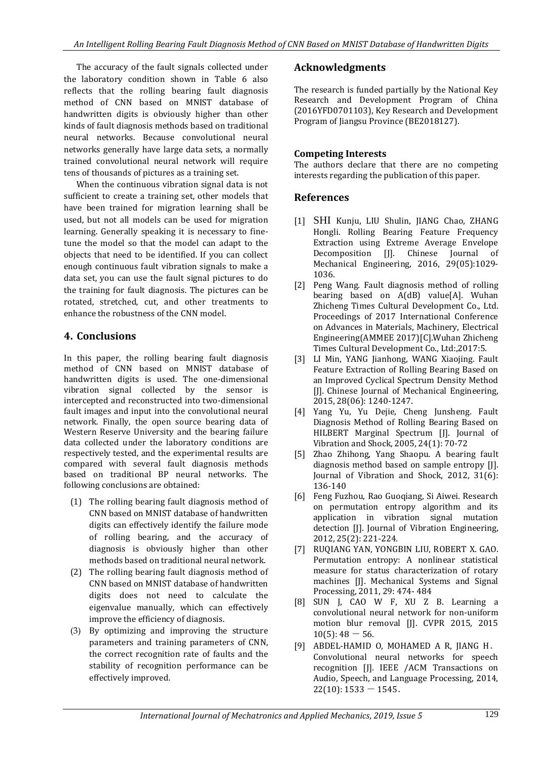The accuracy of the fault signals collected under the laboratory condition shown in Table 6 also reflects that the rolling bearing fault diagnosis method of CNN based on MNIST database of handwritten digits is obviously higher than other kinds of fault diagnosis methods based on traditional neural networks. Because convolutional neural networks generally have large data sets, a normally trained convolutional neural network will require tens of thousands of pictures as a training set.

When the continuous vibration signal data is not sufficient to create a training set, other models that have been trained for migration learning shall be used, but not all models can be used for migration learning. Generally speaking it is necessary to finetune the model so that the model can adapt to the objects that need to be identified. If you can collect enough continuous fault vibration signals to make a data set, you can use the fault signal pictures to do the training for fault diagnosis. The pictures can be rotated, stretched, cut, and other treatments to enhance the robustness of the CNN model.

### **4. Conclusions**

In this paper, the rolling bearing fault diagnosis method of CNN based on MNIST database of handwritten digits is used. The one-dimensional vibration signal collected by the sensor is intercepted and reconstructed into two-dimensional fault images and input into the convolutional neural network. Finally, the open source bearing data of Western Reserve University and the bearing failure data collected under the laboratory conditions are respectively tested, and the experimental results are compared with several fault diagnosis methods based on traditional BP neural networks. The following conclusions are obtained:

- (1) The rolling bearing fault diagnosis method of CNN based on MNIST database of handwritten digits can effectively identify the failure mode of rolling bearing, and the accuracy of diagnosis is obviously higher than other methods based on traditional neural network.
- (2) The rolling bearing fault diagnosis method of CNN based on MNIST database of handwritten digits does not need to calculate the eigenvalue manually, which can effectively improve the efficiency of diagnosis.
- (3) By optimizing and improving the structure parameters and training parameters of CNN, the correct recognition rate of faults and the stability of recognition performance can be effectively improved.

# **Acknowledgments**

The research is funded partially by the National Key Research and Development Program of China (2016YFD0701103), Key Research and Development Program of Jiangsu Province (BE2018127).

### **Competing Interests**

The authors declare that there are no competing interests regarding the publication of this paper.

### **References**

- [1] SHI Kunju, LIU Shulin, JIANG Chao, ZHANG Hongli. Rolling Bearing Feature Frequency Extraction using Extreme Average Envelope Decomposition [J]. Chinese Journal of Mechanical Engineering, 2016, 29(05):1029- 1036.
- [2] Peng Wang. Fault diagnosis method of rolling bearing based on A(dB) value[A]. Wuhan Zhicheng Times Cultural Development Co., Ltd. Proceedings of 2017 International Conference on Advances in Materials, Machinery, Electrical Engineering(AMMEE 2017)[C].Wuhan Zhicheng Times Cultural Development Co., Ltd:,2017:5.
- [3] LI Min, YANG Jianhong, WANG Xiaojing. Fault Feature Extraction of Rolling Bearing Based on an Improved Cyclical Spectrum Density Method [J]. Chinese Journal of Mechanical Engineering, 2015, 28(06): 1240-1247.
- [4] Yang Yu, Yu Dejie, Cheng Junsheng. Fault Diagnosis Method of Rolling Bearing Based on HILBERT Marginal Spectrum [J]. Journal of Vibration and Shock, 2005, 24(1): 70-72
- [5] Zhao Zhihong, Yang Shaopu. A bearing fault diagnosis method based on sample entropy [J]. Journal of Vibration and Shock, 2012, 31(6): 136-140
- [6] Feng Fuzhou, Rao Guoqiang, Si Aiwei. Research on permutation entropy algorithm and its application in vibration signal mutation detection [J]. Journal of Vibration Engineering, 2012, 25(2): 221-224.
- [7] RUQIANG YAN, YONGBIN LIU, ROBERT X. GAO. Permutation entropy: A nonlinear statistical measure for status characterization of rotary machines [J]. Mechanical Systems and Signal Processing, 2011, 29: 474- 484
- [8] SUN J, CAO W F, XU Z B. Learning a convolutional neural network for non-uniform motion blur removal [J]. CVPR 2015, 2015  $10(5)$ : 48 - 56.
- [9] ABDEL-HAMID O, MOHAMED A R, JIANG H. Convolutional neural networks for speech recognition [J]. IEEE /ACM Transactions on Audio, Speech, and Language Processing, 2014,  $22(10): 1533 - 1545.$